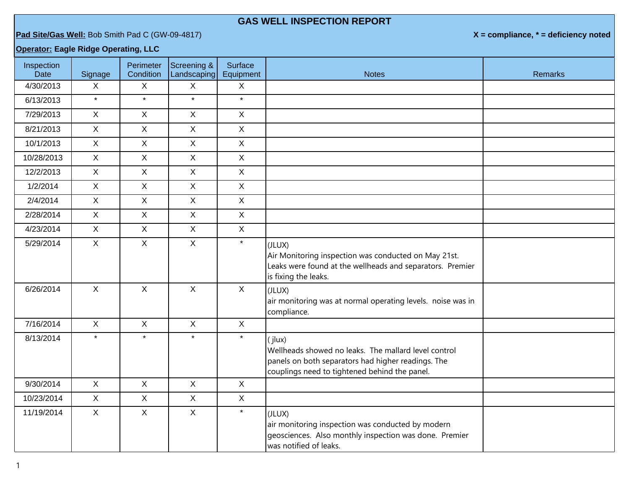## **GAS WELL INSPECTION REPORT**

**Pad Site/Gas Well:** Bob Smith Pad C (GW-09-4817) **X = compliance, \* = deficiency noted**

## **Operator: Eagle Ridge Operating, LLC**

| Inspection<br>Date | Signage      | Perimeter<br>Condition | Screening &<br>Landscaping | Surface<br>Equipment | <b>Notes</b>                                                                                                                                                          | <b>Remarks</b> |
|--------------------|--------------|------------------------|----------------------------|----------------------|-----------------------------------------------------------------------------------------------------------------------------------------------------------------------|----------------|
| 4/30/2013          | $\mathsf{X}$ | $\mathsf{X}$           | X                          | X                    |                                                                                                                                                                       |                |
| 6/13/2013          | $\star$      | $\star$                | $\star$                    | $\star$              |                                                                                                                                                                       |                |
| 7/29/2013          | $\mathsf{X}$ | $\mathsf{X}$           | $\mathsf{X}$               | $\mathsf{X}$         |                                                                                                                                                                       |                |
| 8/21/2013          | $\mathsf{X}$ | $\mathsf{X}$           | $\mathsf{X}$               | $\mathsf X$          |                                                                                                                                                                       |                |
| 10/1/2013          | $\mathsf{X}$ | $\mathsf{X}$           | $\mathsf{X}$               | $\mathsf{X}$         |                                                                                                                                                                       |                |
| 10/28/2013         | X            | $\mathsf{X}$           | $\mathsf{X}$               | $\mathsf{X}$         |                                                                                                                                                                       |                |
| 12/2/2013          | $\mathsf{X}$ | $\mathsf{X}$           | $\mathsf{X}$               | $\mathsf{X}$         |                                                                                                                                                                       |                |
| 1/2/2014           | $\mathsf{X}$ | $\mathsf{X}$           | $\mathsf{X}$               | $\mathsf X$          |                                                                                                                                                                       |                |
| 2/4/2014           | $\mathsf{X}$ | $\mathsf{X}$           | $\mathsf{X}$               | $\mathsf X$          |                                                                                                                                                                       |                |
| 2/28/2014          | $\mathsf{X}$ | $\mathsf{X}$           | $\mathsf{X}$               | $\mathsf{X}$         |                                                                                                                                                                       |                |
| 4/23/2014          | $\mathsf{X}$ | $\mathsf X$            | $\mathsf{X}$               | $\mathsf X$          |                                                                                                                                                                       |                |
| 5/29/2014          | $\mathsf{X}$ | $\mathsf{X}$           | $\mathsf{X}$               | $\star$              | (JLUX)<br>Air Monitoring inspection was conducted on May 21st.<br>Leaks were found at the wellheads and separators. Premier<br>is fixing the leaks.                   |                |
| 6/26/2014          | $\mathsf{X}$ | $\mathsf{X}$           | $\mathsf{X}$               | $\mathsf{X}$         | (JLUX)<br>air monitoring was at normal operating levels. noise was in<br>compliance.                                                                                  |                |
| 7/16/2014          | $\mathsf{X}$ | $\mathsf{X}$           | $\mathsf{X}$               | $\mathsf{X}$         |                                                                                                                                                                       |                |
| 8/13/2014          | $\star$      | $\star$                | $\star$                    | $\star$              | (jlux)<br>Wellheads showed no leaks. The mallard level control<br>panels on both separators had higher readings. The<br>couplings need to tightened behind the panel. |                |
| 9/30/2014          | $\mathsf{X}$ | $\mathsf{X}$           | $\mathsf{X}$               | $\mathsf{X}$         |                                                                                                                                                                       |                |
| 10/23/2014         | $\mathsf{X}$ | $\mathsf{X}$           | $\mathsf{X}$               | $\mathsf{X}$         |                                                                                                                                                                       |                |
| 11/19/2014         | $\mathsf{X}$ | X                      | $\mathsf{X}$               | $\star$              | (JLUX)<br>air monitoring inspection was conducted by modern<br>geosciences. Also monthly inspection was done. Premier<br>was notified of leaks.                       |                |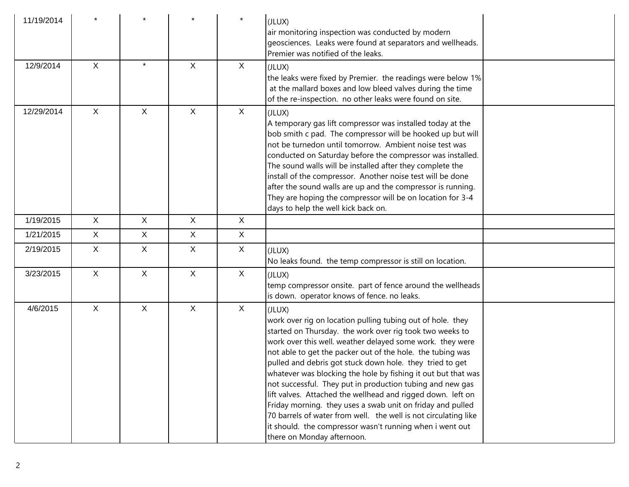| 11/19/2014 |              |              |              |              | (JLUX)<br>air monitoring inspection was conducted by modern<br>geosciences. Leaks were found at separators and wellheads.<br>Premier was notified of the leaks.                                                                                                                                                                                                                                                                                                                                                                                                                                                                                                                                                                                 |  |
|------------|--------------|--------------|--------------|--------------|-------------------------------------------------------------------------------------------------------------------------------------------------------------------------------------------------------------------------------------------------------------------------------------------------------------------------------------------------------------------------------------------------------------------------------------------------------------------------------------------------------------------------------------------------------------------------------------------------------------------------------------------------------------------------------------------------------------------------------------------------|--|
| 12/9/2014  | $\mathsf{X}$ | $\star$      | $\mathsf{X}$ | $\mathsf{X}$ | (JLUX)<br>the leaks were fixed by Premier. the readings were below 1%<br>at the mallard boxes and low bleed valves during the time<br>of the re-inspection. no other leaks were found on site.                                                                                                                                                                                                                                                                                                                                                                                                                                                                                                                                                  |  |
| 12/29/2014 | $\sf X$      | $\mathsf{X}$ | X            | $\mathsf{X}$ | (JLUX)<br>A temporary gas lift compressor was installed today at the<br>bob smith c pad. The compressor will be hooked up but will<br>not be turnedon until tomorrow. Ambient noise test was<br>conducted on Saturday before the compressor was installed.<br>The sound walls will be installed after they complete the<br>install of the compressor. Another noise test will be done<br>after the sound walls are up and the compressor is running.<br>They are hoping the compressor will be on location for 3-4<br>days to help the well kick back on.                                                                                                                                                                                       |  |
| 1/19/2015  | $\mathsf{X}$ | $\mathsf{X}$ | X            | $\mathsf{X}$ |                                                                                                                                                                                                                                                                                                                                                                                                                                                                                                                                                                                                                                                                                                                                                 |  |
| 1/21/2015  | $\mathsf{X}$ | X            | X            | $\mathsf{X}$ |                                                                                                                                                                                                                                                                                                                                                                                                                                                                                                                                                                                                                                                                                                                                                 |  |
| 2/19/2015  | $\mathsf{X}$ | $\mathsf{X}$ | $\mathsf{X}$ | $\mathsf{X}$ | (JLUX)<br>No leaks found. the temp compressor is still on location.                                                                                                                                                                                                                                                                                                                                                                                                                                                                                                                                                                                                                                                                             |  |
| 3/23/2015  | $\mathsf{X}$ | $\mathsf{X}$ | $\mathsf{X}$ | $\mathsf{X}$ | (JLUX)<br>temp compressor onsite. part of fence around the wellheads<br>is down. operator knows of fence. no leaks.                                                                                                                                                                                                                                                                                                                                                                                                                                                                                                                                                                                                                             |  |
| 4/6/2015   | $\mathsf{X}$ | $\mathsf{X}$ | $\mathsf{X}$ | $\mathsf{X}$ | (JLUX)<br>work over rig on location pulling tubing out of hole. they<br>started on Thursday. the work over rig took two weeks to<br>work over this well. weather delayed some work. they were<br>not able to get the packer out of the hole. the tubing was<br>pulled and debris got stuck down hole. they tried to get<br>whatever was blocking the hole by fishing it out but that was<br>not successful. They put in production tubing and new gas<br>lift valves. Attached the wellhead and rigged down. left on<br>Friday morning. they uses a swab unit on friday and pulled<br>70 barrels of water from well. the well is not circulating like<br>it should. the compressor wasn't running when i went out<br>there on Monday afternoon. |  |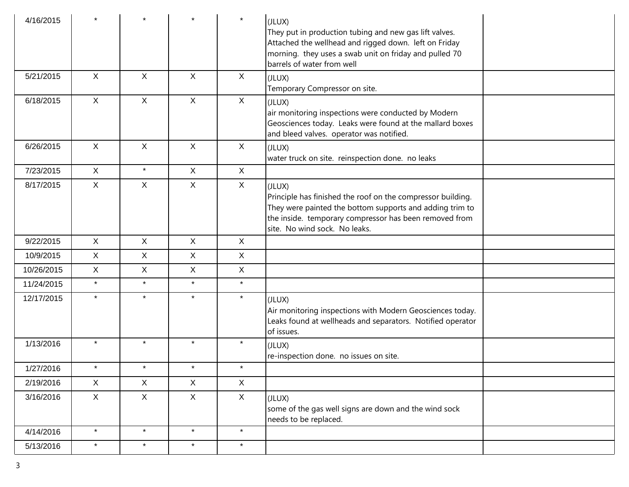| 4/16/2015  |              |                |              | $\star$      | (JLUX)<br>They put in production tubing and new gas lift valves.<br>Attached the wellhead and rigged down. left on Friday<br>morning. they uses a swab unit on friday and pulled 70<br>barrels of water from well            |  |
|------------|--------------|----------------|--------------|--------------|------------------------------------------------------------------------------------------------------------------------------------------------------------------------------------------------------------------------------|--|
| 5/21/2015  | $\sf X$      | $\mathsf{X}$   | $\mathsf{X}$ | X            | (JLUX)<br>Temporary Compressor on site.                                                                                                                                                                                      |  |
| 6/18/2015  | $\sf X$      | X              | X            | X            | (JLUX)<br>air monitoring inspections were conducted by Modern<br>Geosciences today. Leaks were found at the mallard boxes<br>and bleed valves. operator was notified.                                                        |  |
| 6/26/2015  | $\mathsf{X}$ | $\mathsf{X}$   | $\mathsf{X}$ | X            | (JLUX)<br>water truck on site. reinspection done. no leaks                                                                                                                                                                   |  |
| 7/23/2015  | $\mathsf{X}$ | $\star$        | $\mathsf{X}$ | X            |                                                                                                                                                                                                                              |  |
| 8/17/2015  | X            | X              | X            | X            | (JLUX)<br>Principle has finished the roof on the compressor building.<br>They were painted the bottom supports and adding trim to<br>the inside. temporary compressor has been removed from<br>site. No wind sock. No leaks. |  |
| 9/22/2015  | $\mathsf{X}$ | $\mathsf{X}$   | $\mathsf{X}$ | $\mathsf{X}$ |                                                                                                                                                                                                                              |  |
| 10/9/2015  | $\mathsf{X}$ | $\mathsf{X}$   | $\mathsf{X}$ | $\mathsf{X}$ |                                                                                                                                                                                                                              |  |
| 10/26/2015 | $\mathsf X$  | $\pmb{\times}$ | $\mathsf{X}$ | $\mathsf X$  |                                                                                                                                                                                                                              |  |
| 11/24/2015 | $\star$      | $\star$        | $\star$      | $\star$      |                                                                                                                                                                                                                              |  |
| 12/17/2015 | $\star$      | $\star$        | $\star$      | $\star$      | (JLUX)<br>Air monitoring inspections with Modern Geosciences today.<br>Leaks found at wellheads and separators. Notified operator<br>of issues.                                                                              |  |
| 1/13/2016  |              | $\star$        | $\star$      | $\star$      | (JLUX)<br>re-inspection done. no issues on site.                                                                                                                                                                             |  |
| 1/27/2016  | $\star$      | $\star$        | $\star$      | $\star$      |                                                                                                                                                                                                                              |  |
| 2/19/2016  | X            | X              | $\mathsf{X}$ | X            |                                                                                                                                                                                                                              |  |
| 3/16/2016  | X            | X              | $\mathsf{X}$ | X            | (JLUX)<br>some of the gas well signs are down and the wind sock<br>needs to be replaced.                                                                                                                                     |  |
| 4/14/2016  | $\star$      | $\star$        | $\star$      | $\star$      |                                                                                                                                                                                                                              |  |
| 5/13/2016  | $\star$      | $\star$        | $\star$      | $\star$      |                                                                                                                                                                                                                              |  |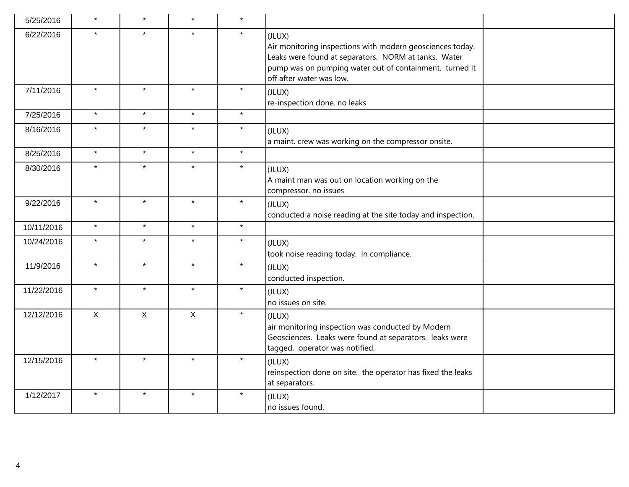| 5/25/2016  | $\star$      | $\star$ | $\star$      | $\star$ |                                                                                                                                                                                                                    |
|------------|--------------|---------|--------------|---------|--------------------------------------------------------------------------------------------------------------------------------------------------------------------------------------------------------------------|
| 6/22/2016  | $\star$      | $\star$ | $\star$      | $\star$ | (JLUX)<br>Air monitoring inspections with modern geosciences today.<br>Leaks were found at separators. NORM at tanks. Water<br>pump was on pumping water out of containment. turned it<br>off after water was low. |
| 7/11/2016  | $\star$      | $\star$ | $\star$      | $\star$ | (JLUX)<br>re-inspection done. no leaks                                                                                                                                                                             |
| 7/25/2016  | $\star$      | $\star$ | $\star$      | $\star$ |                                                                                                                                                                                                                    |
| 8/16/2016  | $\star$      | $\star$ | $\star$      | $\star$ | (JLUX)<br>a maint. crew was working on the compressor onsite.                                                                                                                                                      |
| 8/25/2016  | $\star$      | $\star$ | $\star$      | $\star$ |                                                                                                                                                                                                                    |
| 8/30/2016  | $\star$      | $\star$ | $\star$      | $\star$ | (JLUX)<br>A maint man was out on location working on the<br>compressor. no issues                                                                                                                                  |
| 9/22/2016  | $\star$      | $\star$ | $\star$      | $\star$ | (JLUX)<br>conducted a noise reading at the site today and inspection.                                                                                                                                              |
| 10/11/2016 | $\star$      | $\star$ | $\star$      | $\star$ |                                                                                                                                                                                                                    |
| 10/24/2016 | $\star$      | $\star$ | $\star$      | $\star$ | (JLUX)<br>took noise reading today. In compliance.                                                                                                                                                                 |
| 11/9/2016  | $\star$      | $\star$ | $\star$      | $\star$ | (JLUX)<br>conducted inspection.                                                                                                                                                                                    |
| 11/22/2016 | $\star$      | $\star$ | $\star$      | $\star$ | (JLUX)<br>no issues on site.                                                                                                                                                                                       |
| 12/12/2016 | $\mathsf{X}$ | X       | $\mathsf{X}$ | $\star$ | (JLUX)<br>air monitoring inspection was conducted by Modern<br>Geosciences. Leaks were found at separators. leaks were<br>tagged. operator was notified.                                                           |
| 12/15/2016 | $\star$      | $\star$ | $\star$      | $\star$ | (JLUX)<br>reinspection done on site. the operator has fixed the leaks<br>at separators.                                                                                                                            |
| 1/12/2017  | $\star$      | $\star$ | $\star$      | $\star$ | (JLUX)<br>no issues found.                                                                                                                                                                                         |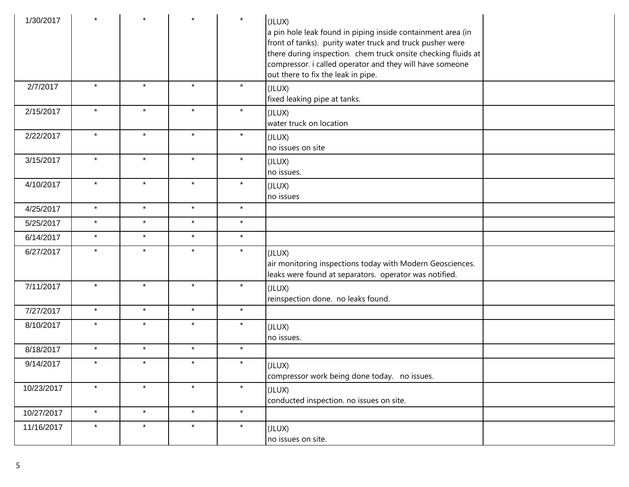| 1/30/2017  |         |         |         | $\star$ | (JLUX)<br>a pin hole leak found in piping inside containment area (in<br>front of tanks). purity water truck and truck pusher were<br>there during inspection. chem truck onsite checking fluids at<br>compressor. i called operator and they will have someone<br>out there to fix the leak in pipe. |
|------------|---------|---------|---------|---------|-------------------------------------------------------------------------------------------------------------------------------------------------------------------------------------------------------------------------------------------------------------------------------------------------------|
| 2/7/2017   | $\star$ | $\star$ | $\star$ | $\star$ | (JLUX)<br>fixed leaking pipe at tanks.                                                                                                                                                                                                                                                                |
| 2/15/2017  | $\star$ | $\star$ | $\star$ | $\star$ | (JLUX)<br>water truck on location                                                                                                                                                                                                                                                                     |
| 2/22/2017  | $\star$ | $\star$ | $\star$ | $\star$ | (JLUX)<br>no issues on site                                                                                                                                                                                                                                                                           |
| 3/15/2017  | $\star$ | $\star$ | $\star$ | $\star$ | (JLUX)<br>no issues.                                                                                                                                                                                                                                                                                  |
| 4/10/2017  | $\star$ | $\star$ | $\star$ | $\star$ | (JLUX)<br>no issues                                                                                                                                                                                                                                                                                   |
| 4/25/2017  | $\star$ | $\star$ | $\star$ | $\star$ |                                                                                                                                                                                                                                                                                                       |
| 5/25/2017  | $\star$ | $\star$ | $\star$ | $\star$ |                                                                                                                                                                                                                                                                                                       |
| 6/14/2017  | $\star$ | $\star$ | $\star$ | $\star$ |                                                                                                                                                                                                                                                                                                       |
| 6/27/2017  | $\star$ | $\star$ | $\star$ | $\star$ | (JLUX)<br>air monitoring inspections today with Modern Geosciences.<br>leaks were found at separators. operator was notified.                                                                                                                                                                         |
| 7/11/2017  | $\star$ | $\star$ | $\star$ | $\star$ | (JLUX)<br>reinspection done. no leaks found.                                                                                                                                                                                                                                                          |
| 7/27/2017  | $\star$ | $\star$ | $\star$ | $\star$ |                                                                                                                                                                                                                                                                                                       |
| 8/10/2017  | $\star$ | $\star$ | $\star$ | $\star$ | (JLUX)<br>no issues.                                                                                                                                                                                                                                                                                  |
| 8/18/2017  | $\star$ | $\star$ | $\star$ | $\star$ |                                                                                                                                                                                                                                                                                                       |
| 9/14/2017  | $\star$ | $\star$ | $\star$ | $\star$ | (JLUX)<br>compressor work being done today. no issues.                                                                                                                                                                                                                                                |
| 10/23/2017 | $\star$ | $\star$ | $\star$ | $\star$ | (JLUX)<br>conducted inspection. no issues on site.                                                                                                                                                                                                                                                    |
| 10/27/2017 | $\star$ | $\star$ | $\star$ | $\star$ |                                                                                                                                                                                                                                                                                                       |
| 11/16/2017 | $\star$ | $\star$ | $\star$ | $\star$ | (JLUX)<br>no issues on site.                                                                                                                                                                                                                                                                          |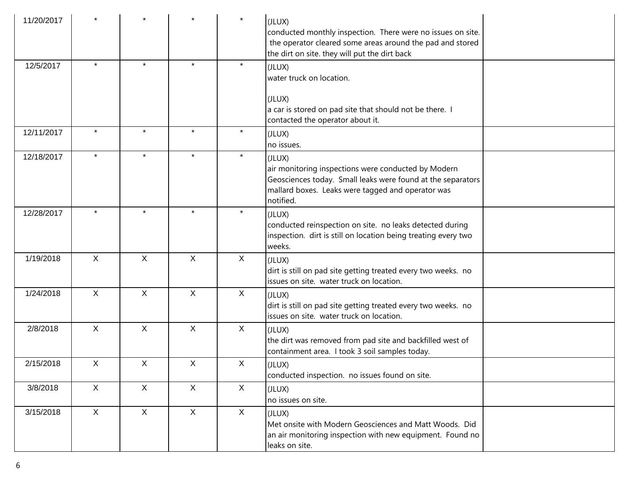| 11/20/2017 |              |              |              | $\star$      | (JLUX)<br>conducted monthly inspection. There were no issues on site.<br>the operator cleared some areas around the pad and stored<br>the dirt on site. they will put the dirt back            |  |
|------------|--------------|--------------|--------------|--------------|------------------------------------------------------------------------------------------------------------------------------------------------------------------------------------------------|--|
| 12/5/2017  | $\star$      | $\star$      | $\star$      | $\star$      | (JLUX)<br>water truck on location.                                                                                                                                                             |  |
|            |              |              |              |              | (JLUX)<br>a car is stored on pad site that should not be there. I<br>contacted the operator about it.                                                                                          |  |
| 12/11/2017 | $\star$      | $\star$      | $\star$      | $\star$      | (JLUX)<br>no issues.                                                                                                                                                                           |  |
| 12/18/2017 |              | $\star$      | $\star$      | $\star$      | (JLUX)<br>air monitoring inspections were conducted by Modern<br>Geosciences today. Small leaks were found at the separators<br>mallard boxes. Leaks were tagged and operator was<br>notified. |  |
| 12/28/2017 | $\star$      | $\star$      | $\star$      | $\star$      | (JLUX)<br>conducted reinspection on site. no leaks detected during<br>inspection. dirt is still on location being treating every two<br>weeks.                                                 |  |
| 1/19/2018  | $\mathsf{X}$ | $\mathsf{X}$ | $\sf X$      | X            | (JLUX)<br>dirt is still on pad site getting treated every two weeks. no<br>issues on site. water truck on location.                                                                            |  |
| 1/24/2018  | $\mathsf{X}$ | $\mathsf{X}$ | $\mathsf{X}$ | $\mathsf{X}$ | (JLUX)<br>dirt is still on pad site getting treated every two weeks. no<br>issues on site. water truck on location.                                                                            |  |
| 2/8/2018   | $\mathsf{X}$ | $\mathsf X$  | $\sf X$      | $\mathsf{X}$ | (JLUX)<br>the dirt was removed from pad site and backfilled west of<br>containment area. I took 3 soil samples today.                                                                          |  |
| 2/15/2018  | X            | X            | X            | X            | (JLUX)<br>conducted inspection. no issues found on site.                                                                                                                                       |  |
| 3/8/2018   | X            | $\mathsf{X}$ | $\mathsf{X}$ | X            | (JLUX)<br>no issues on site.                                                                                                                                                                   |  |
| 3/15/2018  | X            | $\mathsf{X}$ | $\mathsf{X}$ | $\mathsf{X}$ | (JLUX)<br>Met onsite with Modern Geosciences and Matt Woods. Did<br>an air monitoring inspection with new equipment. Found no<br>leaks on site.                                                |  |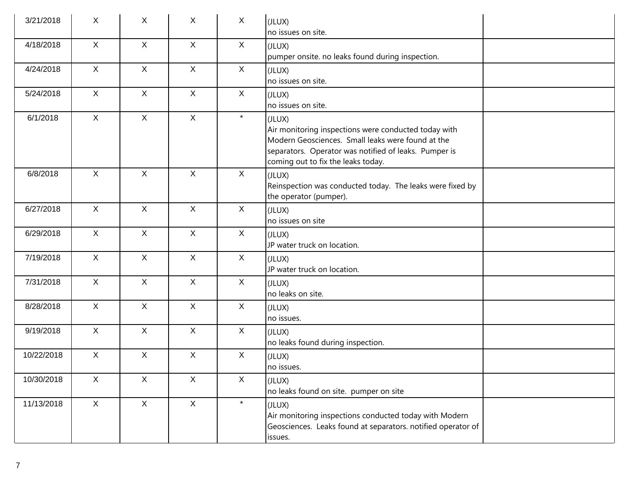| 3/21/2018  | X            | X            | X            | X            | (JLUX)<br>no issues on site.                                                                                                                                                                                       |
|------------|--------------|--------------|--------------|--------------|--------------------------------------------------------------------------------------------------------------------------------------------------------------------------------------------------------------------|
| 4/18/2018  | X            | $\mathsf{X}$ | $\mathsf{X}$ | X            | (JLUX)<br>pumper onsite. no leaks found during inspection.                                                                                                                                                         |
| 4/24/2018  | $\mathsf{X}$ | $\mathsf{X}$ | $\mathsf{X}$ | $\mathsf{X}$ | (JLUX)<br>no issues on site.                                                                                                                                                                                       |
| 5/24/2018  | $\mathsf{X}$ | $\mathsf{X}$ | $\mathsf{X}$ | $\mathsf{X}$ | (JLUX)<br>no issues on site.                                                                                                                                                                                       |
| 6/1/2018   | $\mathsf{X}$ | $\mathsf{X}$ | $\mathsf{X}$ | $\star$      | (JLUX)<br>Air monitoring inspections were conducted today with<br>Modern Geosciences. Small leaks were found at the<br>separators. Operator was notified of leaks. Pumper is<br>coming out to fix the leaks today. |
| 6/8/2018   | $\mathsf{X}$ | $\mathsf{X}$ | $\mathsf{X}$ | $\mathsf{X}$ | (JLUX)<br>Reinspection was conducted today. The leaks were fixed by<br>the operator (pumper).                                                                                                                      |
| 6/27/2018  | $\mathsf{X}$ | $\mathsf{X}$ | $\mathsf{X}$ | X            | (JLUX)<br>$ $ no issues on site                                                                                                                                                                                    |
| 6/29/2018  | $\mathsf{X}$ | $\mathsf{X}$ | $\mathsf{X}$ | $\mathsf{X}$ | (JLUX)<br>JP water truck on location.                                                                                                                                                                              |
| 7/19/2018  | $\mathsf{X}$ | $\mathsf{X}$ | $\mathsf X$  | $\mathsf{X}$ | (JLUX)<br>JP water truck on location.                                                                                                                                                                              |
| 7/31/2018  | $\mathsf{X}$ | $\mathsf{X}$ | $\mathsf{X}$ | X            | (JLUX)<br>no leaks on site.                                                                                                                                                                                        |
| 8/28/2018  | $\mathsf{X}$ | $\mathsf{X}$ | $\mathsf{X}$ | X            | (JLUX)<br>no issues.                                                                                                                                                                                               |
| 9/19/2018  | $\mathsf{X}$ | $\mathsf{X}$ | $\mathsf{X}$ | $\mathsf{X}$ | (JLUX)<br>no leaks found during inspection.                                                                                                                                                                        |
| 10/22/2018 | $\mathsf{X}$ | $\mathsf{X}$ | $\mathsf{X}$ | $\mathsf{X}$ | (JLUX)<br>no issues.                                                                                                                                                                                               |
| 10/30/2018 | $\mathsf X$  | X            | $\mathsf X$  | $\mathsf{X}$ | (JLUX)<br>no leaks found on site. pumper on site                                                                                                                                                                   |
| 11/13/2018 | X            | $\mathsf{X}$ | $\mathsf{X}$ | $\star$      | (JLUX)<br>Air monitoring inspections conducted today with Modern<br>Geosciences. Leaks found at separators. notified operator of<br>issues.                                                                        |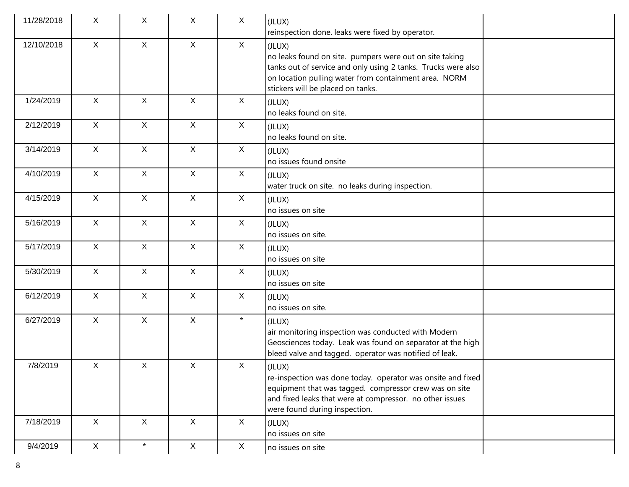| 11/28/2018 | X            | X            | $\mathsf{X}$ | $\mathsf{X}$ | (JLUX)<br>reinspection done. leaks were fixed by operator.                                                                                                                                                                       |  |
|------------|--------------|--------------|--------------|--------------|----------------------------------------------------------------------------------------------------------------------------------------------------------------------------------------------------------------------------------|--|
| 12/10/2018 | $\mathsf{X}$ | $\mathsf{X}$ | $\mathsf{X}$ | X            | (JLUX)<br>no leaks found on site. pumpers were out on site taking<br>tanks out of service and only using 2 tanks. Trucks were also<br>on location pulling water from containment area. NORM<br>stickers will be placed on tanks. |  |
| 1/24/2019  | $\mathsf{X}$ | $\mathsf{X}$ | $\mathsf{X}$ | X            | (JLUX)<br>no leaks found on site.                                                                                                                                                                                                |  |
| 2/12/2019  | $\mathsf{X}$ | $\mathsf{X}$ | $\mathsf{X}$ | $\mathsf{X}$ | (JLUX)<br>no leaks found on site.                                                                                                                                                                                                |  |
| 3/14/2019  | $\mathsf{X}$ | $\mathsf{X}$ | $\mathsf{X}$ | $\mathsf{X}$ | (JLUX)<br>no issues found onsite                                                                                                                                                                                                 |  |
| 4/10/2019  | $\mathsf{X}$ | $\mathsf{X}$ | $\mathsf{X}$ | $\mathsf{X}$ | (JLUX)<br>water truck on site. no leaks during inspection.                                                                                                                                                                       |  |
| 4/15/2019  | $\mathsf{X}$ | $\mathsf{X}$ | $\mathsf{X}$ | $\mathsf{X}$ | (JLUX)<br>no issues on site                                                                                                                                                                                                      |  |
| 5/16/2019  | $\mathsf{X}$ | $\mathsf{X}$ | $\mathsf{X}$ | $\mathsf{X}$ | (JLUX)<br>no issues on site.                                                                                                                                                                                                     |  |
| 5/17/2019  | $\mathsf{X}$ | $\mathsf{X}$ | $\mathsf X$  | $\mathsf X$  | (JLUX)<br>no issues on site                                                                                                                                                                                                      |  |
| 5/30/2019  | $\mathsf{X}$ | $\mathsf X$  | $\mathsf{X}$ | $\mathsf{X}$ | (JLUX)<br>no issues on site                                                                                                                                                                                                      |  |
| 6/12/2019  | $\mathsf{X}$ | $\mathsf{X}$ | $\mathsf{X}$ | $\mathsf{X}$ | (JLUX)<br>no issues on site.                                                                                                                                                                                                     |  |
| 6/27/2019  | $\mathsf{X}$ | $\mathsf{X}$ | $\mathsf{X}$ | $\star$      | (JLUX)<br>air monitoring inspection was conducted with Modern<br>Geosciences today. Leak was found on separator at the high<br>bleed valve and tagged. operator was notified of leak.                                            |  |
| 7/8/2019   | $\mathsf X$  | X            | $\mathsf{X}$ | X            | IULUX)<br>re-inspection was done today. operator was onsite and fixed<br>equipment that was tagged. compressor crew was on site<br>and fixed leaks that were at compressor. no other issues<br>were found during inspection.     |  |
| 7/18/2019  | X            | $\mathsf{X}$ | $\mathsf{X}$ | $\mathsf{X}$ | (JLUX)<br>no issues on site                                                                                                                                                                                                      |  |
| 9/4/2019   | $\mathsf{X}$ | $\star$      | $\mathsf{X}$ | $\mathsf X$  | no issues on site                                                                                                                                                                                                                |  |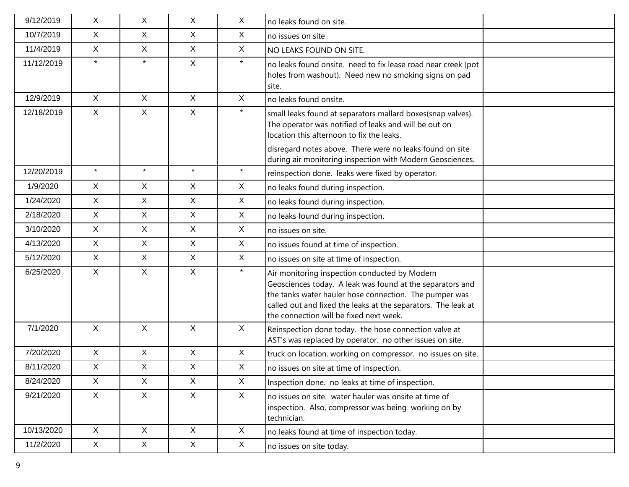| 9/12/2019  | X.           | X.           | X            | X            | no leaks found on site.                                                                                                                                                                                                                                                          |  |
|------------|--------------|--------------|--------------|--------------|----------------------------------------------------------------------------------------------------------------------------------------------------------------------------------------------------------------------------------------------------------------------------------|--|
| 10/7/2019  | X            | X            | X            | X            | no issues on site                                                                                                                                                                                                                                                                |  |
| 11/4/2019  | X            | X            | $\mathsf{X}$ | X            | Ino leaks found on site.                                                                                                                                                                                                                                                         |  |
| 11/12/2019 | $\star$      | $\star$      | $\mathsf{X}$ | $\star$      | no leaks found onsite. need to fix lease road near creek (pot<br>holes from washout). Need new no smoking signs on pad<br>site.                                                                                                                                                  |  |
| 12/9/2019  | $\mathsf{X}$ | $\mathsf{X}$ | $\mathsf{X}$ | $\mathsf{X}$ | no leaks found onsite.                                                                                                                                                                                                                                                           |  |
| 12/18/2019 | $\mathsf{X}$ | $\mathsf{X}$ | $\mathsf{X}$ | $\star$      | small leaks found at separators mallard boxes(snap valves).<br>The operator was notified of leaks and will be out on<br>location this afternoon to fix the leaks.                                                                                                                |  |
|            |              |              |              |              | disregard notes above. There were no leaks found on site<br>during air monitoring inspection with Modern Geosciences.                                                                                                                                                            |  |
| 12/20/2019 | $\star$      | $\star$      | $\star$      | $\star$      | reinspection done. leaks were fixed by operator.                                                                                                                                                                                                                                 |  |
| 1/9/2020   | $\mathsf{X}$ | X            | $\mathsf{X}$ | $\sf X$      | no leaks found during inspection.                                                                                                                                                                                                                                                |  |
| 1/24/2020  | $\mathsf{X}$ | $\mathsf{X}$ | $\mathsf{X}$ | $\sf X$      | no leaks found during inspection.                                                                                                                                                                                                                                                |  |
| 2/18/2020  | X            | X            | $\mathsf{X}$ | X            | no leaks found during inspection.                                                                                                                                                                                                                                                |  |
| 3/10/2020  | $\mathsf{X}$ | $\mathsf{X}$ | $\mathsf{X}$ | $\mathsf{X}$ | no issues on site.                                                                                                                                                                                                                                                               |  |
| 4/13/2020  | X            | X            | X            | X            | no issues found at time of inspection.                                                                                                                                                                                                                                           |  |
| 5/12/2020  | X            | $\mathsf{X}$ | $\mathsf{X}$ | $\mathsf{X}$ | no issues on site at time of inspection.                                                                                                                                                                                                                                         |  |
| 6/25/2020  | X            | X            | $\mathsf{X}$ | $\star$      | Air monitoring inspection conducted by Modern<br>Geosciences today. A leak was found at the separators and<br>the tanks water hauler hose connection. The pumper was<br>called out and fixed the leaks at the separators. The leak at<br>the connection will be fixed next week. |  |
| 7/1/2020   | $\mathsf{X}$ | X            | $\mathsf{X}$ | $\sf X$      | Reinspection done today. the hose connection valve at<br>AST's was replaced by operator. no other issues on site.                                                                                                                                                                |  |
| 7/20/2020  | $\mathsf{X}$ | $\mathsf{X}$ | $\mathsf X$  | X            | truck on location. working on compressor. no issues on site.                                                                                                                                                                                                                     |  |
| 8/11/2020  | X.           | X            | X            | X            | no issues on site at time of inspection.                                                                                                                                                                                                                                         |  |
| 8/24/2020  | $\mathsf{X}$ | $\mathsf{X}$ | $\mathsf{X}$ | $\mathsf{X}$ | Inspection done. no leaks at time of inspection.                                                                                                                                                                                                                                 |  |
| 9/21/2020  | X            | X            | $\mathsf{X}$ | X            | no issues on site. water hauler was onsite at time of<br>inspection. Also, compressor was being working on by<br>technician.                                                                                                                                                     |  |
| 10/13/2020 | X            | X            | X            | $\sf X$      | no leaks found at time of inspection today.                                                                                                                                                                                                                                      |  |
| 11/2/2020  | $\mathsf{X}$ | X            | X            | X            | no issues on site today.                                                                                                                                                                                                                                                         |  |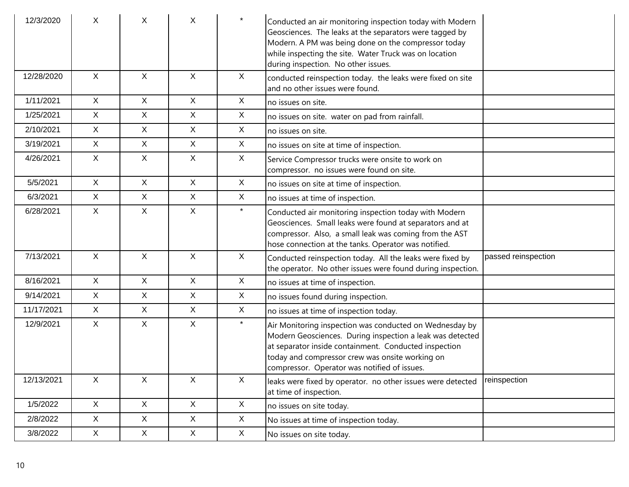| 12/3/2020  | Χ            | X            | X            | $\star$      | Conducted an air monitoring inspection today with Modern<br>Geosciences. The leaks at the separators were tagged by<br>Modern. A PM was being done on the compressor today<br>while inspecting the site. Water Truck was on location<br>during inspection. No other issues.      |                     |
|------------|--------------|--------------|--------------|--------------|----------------------------------------------------------------------------------------------------------------------------------------------------------------------------------------------------------------------------------------------------------------------------------|---------------------|
| 12/28/2020 | $\sf X$      | X            | X.           | X            | conducted reinspection today. the leaks were fixed on site<br>and no other issues were found.                                                                                                                                                                                    |                     |
| 1/11/2021  | $\mathsf{X}$ | $\mathsf{X}$ | $\mathsf{X}$ | X            | no issues on site.                                                                                                                                                                                                                                                               |                     |
| 1/25/2021  | $\mathsf{X}$ | $\mathsf{X}$ | $\mathsf{X}$ | X            | no issues on site. water on pad from rainfall.                                                                                                                                                                                                                                   |                     |
| 2/10/2021  | $\mathsf{X}$ | X            | $\mathsf{X}$ | X            | no issues on site.                                                                                                                                                                                                                                                               |                     |
| 3/19/2021  | $\mathsf{X}$ | $\mathsf{X}$ | $\mathsf{X}$ | $\mathsf{X}$ | no issues on site at time of inspection.                                                                                                                                                                                                                                         |                     |
| 4/26/2021  | $\mathsf{X}$ | X            | $\mathsf{X}$ | X            | Service Compressor trucks were onsite to work on<br>compressor. no issues were found on site.                                                                                                                                                                                    |                     |
| 5/5/2021   | $\mathsf{X}$ | $\mathsf{X}$ | $\mathsf{X}$ | $\mathsf{X}$ | no issues on site at time of inspection.                                                                                                                                                                                                                                         |                     |
| 6/3/2021   | $\mathsf{X}$ | $\mathsf{X}$ | X            | X            | no issues at time of inspection.                                                                                                                                                                                                                                                 |                     |
| 6/28/2021  | X            | $\mathsf{X}$ | X            | $\star$      | Conducted air monitoring inspection today with Modern<br>Geosciences. Small leaks were found at separators and at<br>compressor. Also, a small leak was coming from the AST<br>hose connection at the tanks. Operator was notified.                                              |                     |
| 7/13/2021  | X            | X            | X.           | X            | Conducted reinspection today. All the leaks were fixed by<br>the operator. No other issues were found during inspection.                                                                                                                                                         | passed reinspection |
| 8/16/2021  | $\mathsf{X}$ | $\mathsf{X}$ | $\mathsf{X}$ | $\mathsf{X}$ | no issues at time of inspection.                                                                                                                                                                                                                                                 |                     |
| 9/14/2021  | $\mathsf{X}$ | X            | $\mathsf{X}$ | $\mathsf X$  | no issues found during inspection.                                                                                                                                                                                                                                               |                     |
| 11/17/2021 | $\mathsf{X}$ | $\mathsf{X}$ | $\mathsf{X}$ | $\mathsf{X}$ | no issues at time of inspection today.                                                                                                                                                                                                                                           |                     |
| 12/9/2021  | $\mathsf{X}$ | X            | $\mathsf{X}$ | $\star$      | Air Monitoring inspection was conducted on Wednesday by<br>Modern Geosciences. During inspection a leak was detected<br>at separator inside containment. Conducted inspection<br>today and compressor crew was onsite working on<br>compressor. Operator was notified of issues. |                     |
| 12/13/2021 | X            | $\mathsf{X}$ | $\mathsf{X}$ | X            | leaks were fixed by operator. no other issues were detected<br>at time of inspection.                                                                                                                                                                                            | reinspection        |
| 1/5/2022   | X            | X            | X            | X            | no issues on site today.                                                                                                                                                                                                                                                         |                     |
| 2/8/2022   | X            | X            | $\mathsf{X}$ | X            | No issues at time of inspection today.                                                                                                                                                                                                                                           |                     |
| 3/8/2022   | $\mathsf{X}$ | X            | X            | X            | No issues on site today.                                                                                                                                                                                                                                                         |                     |